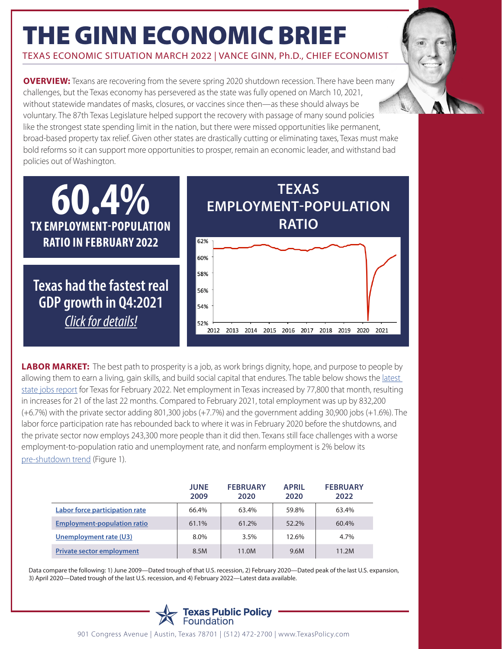## THE GINN ECONOMIC BRIEF

TEXAS ECONOMIC SITUATION MARCH 2022 | VANCE GINN, Ph.D., CHIEF ECONOMIST

**OVERVIEW:** Texans are recovering from the severe spring 2020 shutdown recession. There have been many challenges, but the Texas economy has persevered as the state was fully opened on March 10, 2021, without statewide mandates of masks, closures, or vaccines since then—as these should always be voluntary. The 87th Texas Legislature helped support the recovery with passage of many sound policies like the strongest state spending limit in the nation, but there were missed opportunities like permanent, broad-based property tax relief. Given other states are drastically cutting or eliminating taxes, Texas must make bold reforms so it can support more opportunities to prosper, remain an economic leader, and withstand bad policies out of Washington.



**LABOR MARKET:** The best path to prosperity is a job, as work brings dignity, hope, and purpose to people by allowing them to earn a living, gain skills, and build social capital that endures. The table below shows the [latest](https://www.twc.texas.gov/news/texas-adds-77800-jobs-february-unemployment-rate-declines-47-percent)  [state jobs report](https://www.twc.texas.gov/news/texas-adds-77800-jobs-february-unemployment-rate-declines-47-percent) for Texas for February 2022. Net employment in Texas increased by 77,800 that month, resulting in increases for 21 of the last 22 months. Compared to February 2021, total employment was up by 832,200 (+6.7%) with the private sector adding 801,300 jobs (+7.7%) and the government adding 30,900 jobs (+1.6%). The labor force participation rate has rebounded back to where it was in February 2020 before the shutdowns, and the private sector now employs 243,300 more people than it did then. Texans still face challenges with a worse employment-to-population ratio and unemployment rate, and nonfarm employment is 2% below its [pre-shutdown trend](https://georgiaopportunity.org/state-pandemic-response-impact-on-work-opportunity/) (Figure 1).

|                                    | <b>JUNE</b><br>2009 | <b>FEBRUARY</b><br>2020 | <b>APRIL</b><br>2020 | <b>FEBRUARY</b><br>2022 |
|------------------------------------|---------------------|-------------------------|----------------------|-------------------------|
| Labor force participation rate     | 66.4%               | 63.4%                   | 59.8%                | 63.4%                   |
| <b>Employment-population ratio</b> | 61.1%               | 61.2%                   | 52.2%                | 60.4%                   |
| Unemployment rate (U3)             | 8.0%                | 3.5%                    | 12.6%                | 4.7%                    |
| <b>Private sector employment</b>   | 8.5M                | 11.0M                   | 9.6M                 | 11.2M                   |

Data compare the following: 1) June 2009—Dated trough of that U.S. recession, 2) February 2020—Dated peak of the last U.S. expansion, 3) April 2020—Dated trough of the last U.S. recession, and 4) February 2022—Latest data available.



901 Congress Avenue | Austin, Texas 78701 | (512) 472-2700 | www.TexasPolicy.com